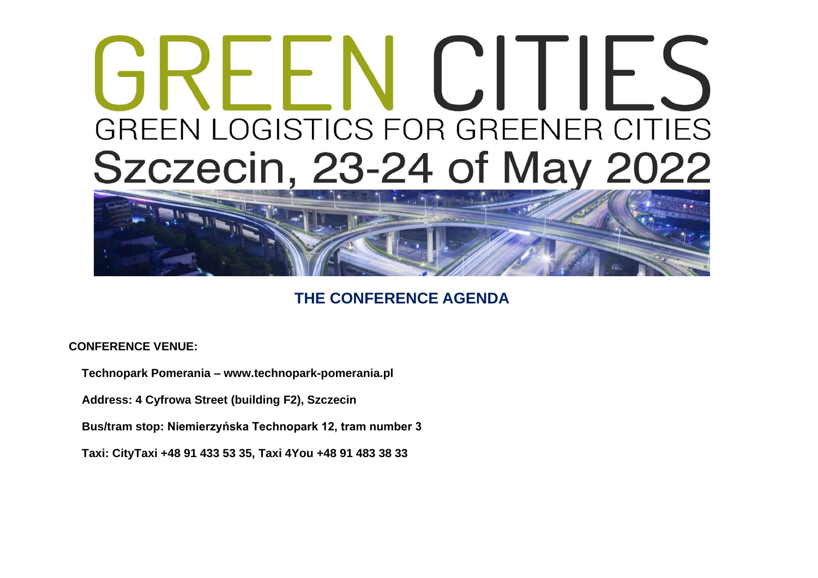## REENUILES GREEN LOGISTICS FOR GREENER CITIES Szczecin, 23-24 of May 2022



## **THE CONFERENCE AGENDA**

**CONFERENCE VENUE:**

 **Technopark Pomerania – www.technopark-pomerania.pl**

 **Address: 4 Cyfrowa Street (building F2), Szczecin**

 **Bus/tram stop: Niemierzyńska Technopark 12, tram number 3**

 **Taxi: CityTaxi +48 91 433 53 35, Taxi 4You +48 91 483 38 33**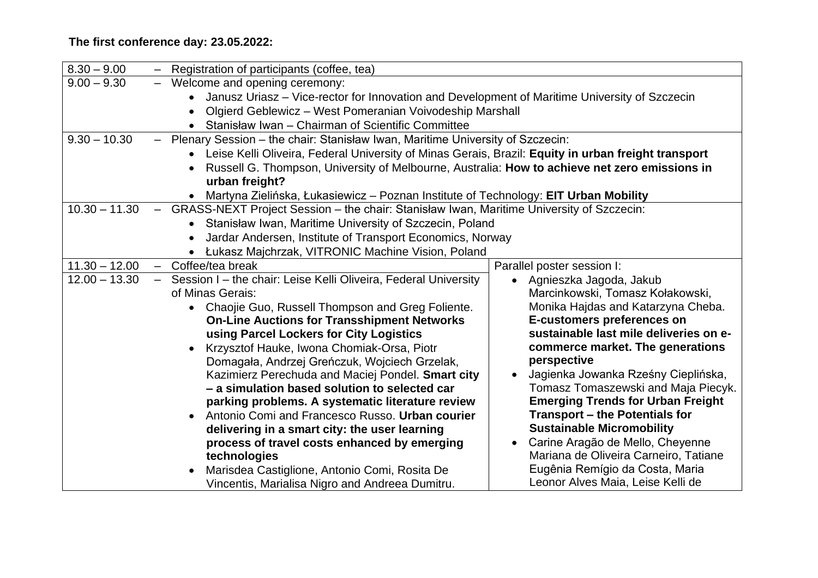## **The first conference day: 23.05.2022:**

| $8.30 - 9.00$   | $\overline{\phantom{m}}$ | Registration of participants (coffee, tea)                                                            |                                          |  |
|-----------------|--------------------------|-------------------------------------------------------------------------------------------------------|------------------------------------------|--|
| $9.00 - 9.30$   |                          | - Welcome and opening ceremony:                                                                       |                                          |  |
|                 |                          | Janusz Uriasz - Vice-rector for Innovation and Development of Maritime University of Szczecin         |                                          |  |
|                 |                          | Olgierd Geblewicz – West Pomeranian Voivodeship Marshall<br>$\bullet$                                 |                                          |  |
|                 |                          | • Stanisław Iwan - Chairman of Scientific Committee                                                   |                                          |  |
| $9.30 - 10.30$  | $\overline{\phantom{m}}$ | Plenary Session - the chair: Stanisław Iwan, Maritime University of Szczecin:                         |                                          |  |
|                 |                          | • Leise Kelli Oliveira, Federal University of Minas Gerais, Brazil: Equity in urban freight transport |                                          |  |
|                 |                          | Russell G. Thompson, University of Melbourne, Australia: How to achieve net zero emissions in         |                                          |  |
|                 |                          | urban freight?                                                                                        |                                          |  |
|                 |                          | Martyna Zielińska, Łukasiewicz – Poznan Institute of Technology: EIT Urban Mobility<br>$\bullet$      |                                          |  |
| $10.30 - 11.30$ | $\overline{\phantom{m}}$ | GRASS-NEXT Project Session - the chair: Stanisław Iwan, Maritime University of Szczecin:              |                                          |  |
|                 |                          | • Stanisław Iwan, Maritime University of Szczecin, Poland                                             |                                          |  |
|                 |                          | Jardar Andersen, Institute of Transport Economics, Norway                                             |                                          |  |
|                 |                          | • Łukasz Majchrzak, VITRONIC Machine Vision, Poland                                                   |                                          |  |
| $11.30 - 12.00$ |                          | - Coffee/tea break                                                                                    | Parallel poster session I:               |  |
| $12.00 - 13.30$ |                          | Session I – the chair: Leise Kelli Oliveira, Federal University                                       | Agnieszka Jagoda, Jakub                  |  |
|                 |                          | of Minas Gerais:                                                                                      | Marcinkowski, Tomasz Kołakowski,         |  |
|                 |                          | • Chaojie Guo, Russell Thompson and Greg Foliente.                                                    | Monika Hajdas and Katarzyna Cheba.       |  |
|                 |                          | <b>On-Line Auctions for Transshipment Networks</b>                                                    | <b>E-customers preferences on</b>        |  |
|                 |                          | using Parcel Lockers for City Logistics                                                               | sustainable last mile deliveries on e-   |  |
|                 |                          | Krzysztof Hauke, Iwona Chomiak-Orsa, Piotr                                                            | commerce market. The generations         |  |
|                 |                          | Domagała, Andrzej Greńczuk, Wojciech Grzelak,                                                         | perspective                              |  |
|                 |                          | Kazimierz Perechuda and Maciej Pondel. Smart city                                                     | Jagienka Jowanka Rześny Cieplińska,      |  |
|                 |                          | - a simulation based solution to selected car                                                         | Tomasz Tomaszewski and Maja Piecyk.      |  |
|                 |                          | parking problems. A systematic literature review                                                      | <b>Emerging Trends for Urban Freight</b> |  |
|                 |                          | Antonio Comi and Francesco Russo. Urban courier<br>$\bullet$                                          | Transport – the Potentials for           |  |
|                 |                          | delivering in a smart city: the user learning                                                         | <b>Sustainable Micromobility</b>         |  |
|                 |                          | process of travel costs enhanced by emerging                                                          | Carine Aragão de Mello, Cheyenne         |  |
|                 |                          | technologies                                                                                          | Mariana de Oliveira Carneiro, Tatiane    |  |
|                 |                          | Marisdea Castiglione, Antonio Comi, Rosita De                                                         | Eugênia Remígio da Costa, Maria          |  |
|                 |                          | Vincentis, Marialisa Nigro and Andreea Dumitru.                                                       | Leonor Alves Maia, Leise Kelli de        |  |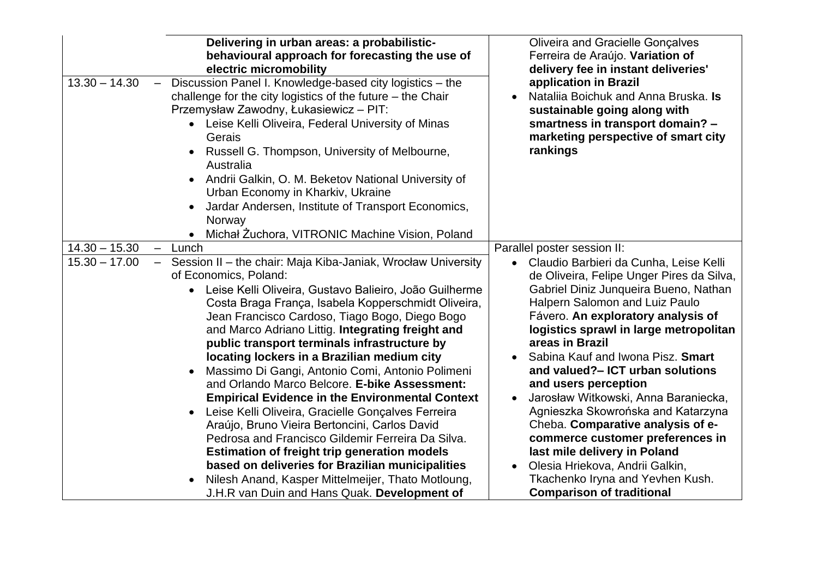| Delivering in urban areas: a probabilistic-<br>behavioural approach for forecasting the use of<br>electric micromobility<br>$13.30 - 14.30$<br>Discussion Panel I. Knowledge-based city logistics - the<br>$\qquad \qquad -$<br>challenge for the city logistics of the future $-$ the Chair<br>Przemysław Zawodny, Łukasiewicz – PIT:<br>• Leise Kelli Oliveira, Federal University of Minas<br>Gerais<br>Russell G. Thompson, University of Melbourne,<br>Australia<br>Andrii Galkin, O. M. Beketov National University of<br>$\bullet$<br>Urban Economy in Kharkiv, Ukraine<br>Jardar Andersen, Institute of Transport Economics,<br>Norway<br>Michał Żuchora, VITRONIC Machine Vision, Poland                                                                                                                                                                                                                                                                             | <b>Oliveira and Gracielle Gonçalves</b><br>Ferreira de Araújo. Variation of<br>delivery fee in instant deliveries'<br>application in Brazil<br>Natalija Boichuk and Anna Bruska. Is<br>sustainable going along with<br>smartness in transport domain? -<br>marketing perspective of smart city<br>rankings                                                                                                                                                                                                                                                                                                                                                                                                  |
|-------------------------------------------------------------------------------------------------------------------------------------------------------------------------------------------------------------------------------------------------------------------------------------------------------------------------------------------------------------------------------------------------------------------------------------------------------------------------------------------------------------------------------------------------------------------------------------------------------------------------------------------------------------------------------------------------------------------------------------------------------------------------------------------------------------------------------------------------------------------------------------------------------------------------------------------------------------------------------|-------------------------------------------------------------------------------------------------------------------------------------------------------------------------------------------------------------------------------------------------------------------------------------------------------------------------------------------------------------------------------------------------------------------------------------------------------------------------------------------------------------------------------------------------------------------------------------------------------------------------------------------------------------------------------------------------------------|
| $14.30 - 15.30$<br>Lunch<br>$\overline{\phantom{m}}$                                                                                                                                                                                                                                                                                                                                                                                                                                                                                                                                                                                                                                                                                                                                                                                                                                                                                                                          | Parallel poster session II:                                                                                                                                                                                                                                                                                                                                                                                                                                                                                                                                                                                                                                                                                 |
| $15.30 - 17.00$<br>- Session II - the chair: Maja Kiba-Janiak, Wrocław University<br>of Economics, Poland:<br>Leise Kelli Oliveira, Gustavo Balieiro, João Guilherme<br>Costa Braga França, Isabela Kopperschmidt Oliveira,<br>Jean Francisco Cardoso, Tiago Bogo, Diego Bogo<br>and Marco Adriano Littig. Integrating freight and<br>public transport terminals infrastructure by<br>locating lockers in a Brazilian medium city<br>Massimo Di Gangi, Antonio Comi, Antonio Polimeni<br>and Orlando Marco Belcore. E-bike Assessment:<br><b>Empirical Evidence in the Environmental Context</b><br>Leise Kelli Oliveira, Gracielle Gonçalves Ferreira<br>Araújo, Bruno Vieira Bertoncini, Carlos David<br>Pedrosa and Francisco Gildemir Ferreira Da Silva.<br><b>Estimation of freight trip generation models</b><br>based on deliveries for Brazilian municipalities<br>Nilesh Anand, Kasper Mittelmeijer, Thato Motloung,<br>J.H.R van Duin and Hans Quak. Development of | Claudio Barbieri da Cunha, Leise Kelli<br>$\bullet$<br>de Oliveira, Felipe Unger Pires da Silva,<br>Gabriel Diniz Junqueira Bueno, Nathan<br>Halpern Salomon and Luiz Paulo<br>Fávero. An exploratory analysis of<br>logistics sprawl in large metropolitan<br>areas in Brazil<br>Sabina Kauf and Iwona Pisz. Smart<br>and valued?- ICT urban solutions<br>and users perception<br>Jarosław Witkowski, Anna Baraniecka,<br>$\bullet$<br>Agnieszka Skowrońska and Katarzyna<br>Cheba. Comparative analysis of e-<br>commerce customer preferences in<br>last mile delivery in Poland<br>Olesia Hriekova, Andrii Galkin,<br>$\bullet$<br>Tkachenko Iryna and Yevhen Kush.<br><b>Comparison of traditional</b> |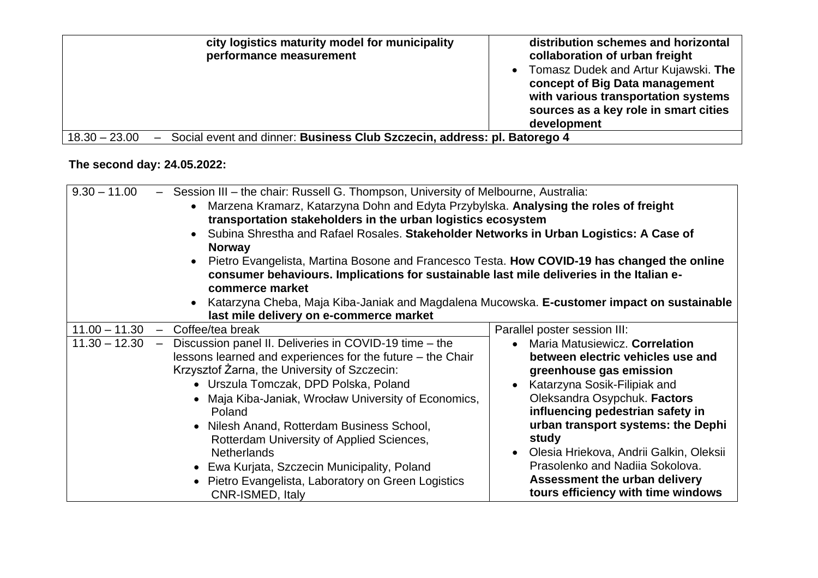| city logistics maturity model for municipality<br>performance measurement                                               | distribution schemes and horizontal<br>collaboration of urban freight<br>• Tomasz Dudek and Artur Kujawski. The<br>concept of Big Data management<br>with various transportation systems<br>sources as a key role in smart cities<br>development |
|-------------------------------------------------------------------------------------------------------------------------|--------------------------------------------------------------------------------------------------------------------------------------------------------------------------------------------------------------------------------------------------|
| Social event and dinner: Business Club Szczecin, address: pl. Batorego 4<br>$18.30 - 23.00$<br>$\overline{\phantom{m}}$ |                                                                                                                                                                                                                                                  |

## **The second day: 24.05.2022:**

| $9.30 - 11.00$<br>- Session III - the chair: Russell G. Thompson, University of Melbourne, Australia:<br>Marzena Kramarz, Katarzyna Dohn and Edyta Przybylska. Analysing the roles of freight<br>$\bullet$<br>transportation stakeholders in the urban logistics ecosystem<br>Subina Shrestha and Rafael Rosales. Stakeholder Networks in Urban Logistics: A Case of<br><b>Norway</b><br>Pietro Evangelista, Martina Bosone and Francesco Testa. How COVID-19 has changed the online<br>$\bullet$<br>consumer behaviours. Implications for sustainable last mile deliveries in the Italian e-<br>commerce market<br>• Katarzyna Cheba, Maja Kiba-Janiak and Magdalena Mucowska. E-customer impact on sustainable<br>last mile delivery on e-commerce market |                                                                                                                                                                                                                                                                                                                                                                                                                     |  |
|-------------------------------------------------------------------------------------------------------------------------------------------------------------------------------------------------------------------------------------------------------------------------------------------------------------------------------------------------------------------------------------------------------------------------------------------------------------------------------------------------------------------------------------------------------------------------------------------------------------------------------------------------------------------------------------------------------------------------------------------------------------|---------------------------------------------------------------------------------------------------------------------------------------------------------------------------------------------------------------------------------------------------------------------------------------------------------------------------------------------------------------------------------------------------------------------|--|
| $11.00 - 11.30 -$<br>Coffee/tea break                                                                                                                                                                                                                                                                                                                                                                                                                                                                                                                                                                                                                                                                                                                       | Parallel poster session III:                                                                                                                                                                                                                                                                                                                                                                                        |  |
| $11.30 - 12.30$<br>Discussion panel II. Deliveries in COVID-19 time – the<br>$\overline{\phantom{0}}$<br>lessons learned and experiences for the future – the Chair<br>Krzysztof Żarna, the University of Szczecin:<br>• Urszula Tomczak, DPD Polska, Poland<br>Maja Kiba-Janiak, Wrocław University of Economics,<br>Poland<br>• Nilesh Anand, Rotterdam Business School,<br>Rotterdam University of Applied Sciences,<br><b>Netherlands</b><br>• Ewa Kurjata, Szczecin Municipality, Poland<br>• Pietro Evangelista, Laboratory on Green Logistics<br>CNR-ISMED, Italy                                                                                                                                                                                    | Maria Matusiewicz. Correlation<br>$\bullet$<br>between electric vehicles use and<br>greenhouse gas emission<br>Katarzyna Sosik-Filipiak and<br>Oleksandra Osypchuk. Factors<br>influencing pedestrian safety in<br>urban transport systems: the Dephi<br>study<br>Olesia Hriekova, Andrii Galkin, Oleksii<br>Prasolenko and Nadija Sokolova.<br>Assessment the urban delivery<br>tours efficiency with time windows |  |